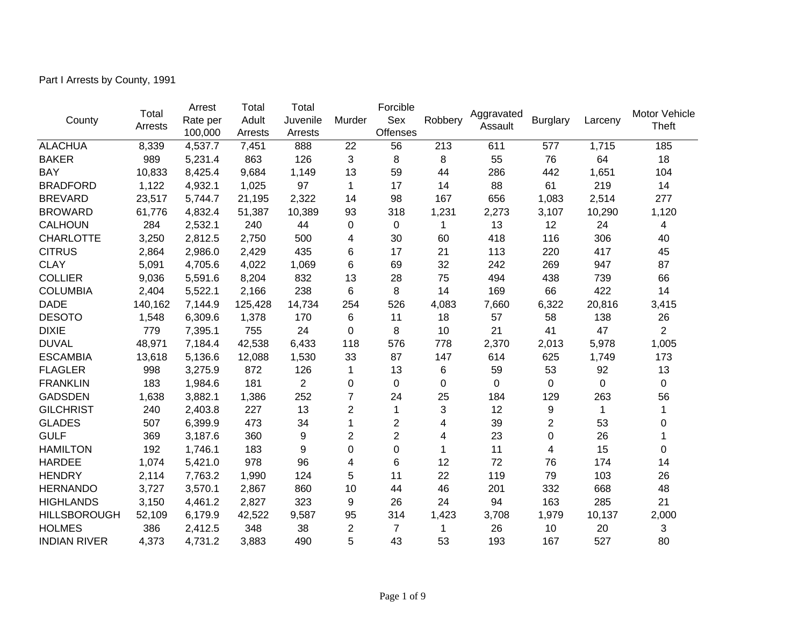Part I Arrests by County, 1991

|                     | Total   | Arrest   | Total   | Total          |                | Forcible         |         |                       |                 | Larceny | Motor Vehicle  |
|---------------------|---------|----------|---------|----------------|----------------|------------------|---------|-----------------------|-----------------|---------|----------------|
| County              | Arrests | Rate per | Adult   | Juvenile       | Murder         | Sex              | Robbery | Aggravated<br>Assault | <b>Burglary</b> |         | <b>Theft</b>   |
|                     |         | 100,000  | Arrests | Arrests        |                | Offenses         |         |                       |                 |         |                |
| <b>ALACHUA</b>      | 8,339   | 4,537.7  | 7,451   | 888            | 22             | 56               | 213     | 611                   | 577             | 1,715   | 185            |
| <b>BAKER</b>        | 989     | 5,231.4  | 863     | 126            | 3              | 8                | 8       | 55                    | 76              | 64      | 18             |
| <b>BAY</b>          | 10,833  | 8,425.4  | 9,684   | 1,149          | 13             | 59               | 44      | 286                   | 442             | 1,651   | 104            |
| <b>BRADFORD</b>     | 1,122   | 4,932.1  | 1,025   | 97             | 1              | 17               | 14      | 88                    | 61              | 219     | 14             |
| <b>BREVARD</b>      | 23,517  | 5,744.7  | 21,195  | 2,322          | 14             | 98               | 167     | 656                   | 1,083           | 2,514   | 277            |
| <b>BROWARD</b>      | 61,776  | 4,832.4  | 51,387  | 10,389         | 93             | 318              | 1,231   | 2,273                 | 3,107           | 10,290  | 1,120          |
| <b>CALHOUN</b>      | 284     | 2,532.1  | 240     | 44             | 0              | 0                | 1       | 13                    | 12              | 24      | 4              |
| <b>CHARLOTTE</b>    | 3,250   | 2,812.5  | 2,750   | 500            | 4              | 30               | 60      | 418                   | 116             | 306     | 40             |
| <b>CITRUS</b>       | 2,864   | 2,986.0  | 2,429   | 435            | 6              | 17               | 21      | 113                   | 220             | 417     | 45             |
| <b>CLAY</b>         | 5,091   | 4,705.6  | 4,022   | 1,069          | 6              | 69               | 32      | 242                   | 269             | 947     | 87             |
| <b>COLLIER</b>      | 9,036   | 5,591.6  | 8,204   | 832            | 13             | 28               | 75      | 494                   | 438             | 739     | 66             |
| <b>COLUMBIA</b>     | 2,404   | 5,522.1  | 2,166   | 238            | 6              | 8                | 14      | 169                   | 66              | 422     | 14             |
| <b>DADE</b>         | 140,162 | 7,144.9  | 125,428 | 14,734         | 254            | 526              | 4,083   | 7,660                 | 6,322           | 20,816  | 3,415          |
| <b>DESOTO</b>       | 1,548   | 6,309.6  | 1,378   | 170            | 6              | 11               | 18      | 57                    | 58              | 138     | 26             |
| <b>DIXIE</b>        | 779     | 7,395.1  | 755     | 24             | $\Omega$       | 8                | 10      | 21                    | 41              | 47      | $\overline{2}$ |
| <b>DUVAL</b>        | 48,971  | 7,184.4  | 42,538  | 6,433          | 118            | 576              | 778     | 2,370                 | 2,013           | 5,978   | 1,005          |
| <b>ESCAMBIA</b>     | 13,618  | 5,136.6  | 12,088  | 1,530          | 33             | 87               | 147     | 614                   | 625             | 1,749   | 173            |
| <b>FLAGLER</b>      | 998     | 3,275.9  | 872     | 126            | 1              | 13               | 6       | 59                    | 53              | 92      | 13             |
| <b>FRANKLIN</b>     | 183     | 1,984.6  | 181     | $\overline{2}$ | 0              | $\Omega$         | 0       | 0                     | 0               | 0       | $\mathbf 0$    |
| <b>GADSDEN</b>      | 1,638   | 3,882.1  | 1,386   | 252            | $\overline{7}$ | 24               | 25      | 184                   | 129             | 263     | 56             |
| <b>GILCHRIST</b>    | 240     | 2,403.8  | 227     | 13             | 2              | 1                | 3       | 12                    | 9               | 1       | 1              |
| <b>GLADES</b>       | 507     | 6,399.9  | 473     | 34             | 1              | $\boldsymbol{2}$ | 4       | 39                    | $\overline{2}$  | 53      | 0              |
| <b>GULF</b>         | 369     | 3,187.6  | 360     | 9              | $\overline{2}$ | $\overline{2}$   | 4       | 23                    | 0               | 26      |                |
| <b>HAMILTON</b>     | 192     | 1,746.1  | 183     | 9              | 0              | $\overline{0}$   | 1       | 11                    | 4               | 15      | 0              |
| <b>HARDEE</b>       | 1,074   | 5,421.0  | 978     | 96             | 4              | 6                | 12      | 72                    | 76              | 174     | 14             |
| <b>HENDRY</b>       | 2,114   | 7,763.2  | 1,990   | 124            | 5              | 11               | 22      | 119                   | 79              | 103     | 26             |
| <b>HERNANDO</b>     | 3,727   | 3,570.1  | 2,867   | 860            | 10             | 44               | 46      | 201                   | 332             | 668     | 48             |
| <b>HIGHLANDS</b>    | 3,150   | 4,461.2  | 2,827   | 323            | 9              | 26               | 24      | 94                    | 163             | 285     | 21             |
| <b>HILLSBOROUGH</b> | 52,109  | 6,179.9  | 42,522  | 9,587          | 95             | 314              | 1,423   | 3,708                 | 1,979           | 10,137  | 2,000          |
| <b>HOLMES</b>       | 386     | 2,412.5  | 348     | 38             | 2              | 7                | 1       | 26                    | 10              | 20      | 3              |
| <b>INDIAN RIVER</b> | 4,373   | 4,731.2  | 3,883   | 490            | 5              | 43               | 53      | 193                   | 167             | 527     | 80             |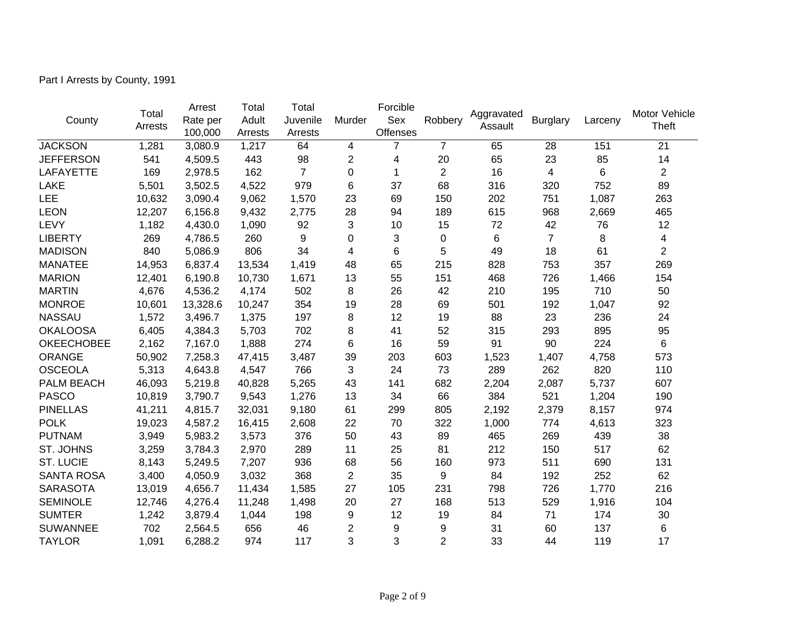Part I Arrests by County, 1991

|                   | Total   | Arrest   | Total   | Total            |                | Forcible |                |                       |                 | Larceny | Motor Vehicle  |
|-------------------|---------|----------|---------|------------------|----------------|----------|----------------|-----------------------|-----------------|---------|----------------|
| County            | Arrests | Rate per | Adult   | Juvenile         | Murder         | Sex      | Robbery        | Aggravated<br>Assault | <b>Burglary</b> |         | <b>Theft</b>   |
|                   |         | 100,000  | Arrests | Arrests          |                | Offenses |                |                       |                 |         |                |
| <b>JACKSON</b>    | 1,281   | 3,080.9  | 1,217   | 64               | 4              | 7        | $\overline{7}$ | 65                    | 28              | 151     | 21             |
| <b>JEFFERSON</b>  | 541     | 4,509.5  | 443     | 98               | 2              | 4        | 20             | 65                    | 23              | 85      | 14             |
| <b>LAFAYETTE</b>  | 169     | 2,978.5  | 162     | $\overline{7}$   | 0              | 1        | $\overline{2}$ | 16                    | 4               | 6       | $\overline{2}$ |
| <b>LAKE</b>       | 5,501   | 3,502.5  | 4,522   | 979              | 6              | 37       | 68             | 316                   | 320             | 752     | 89             |
| LEE               | 10,632  | 3,090.4  | 9,062   | 1,570            | 23             | 69       | 150            | 202                   | 751             | 1,087   | 263            |
| <b>LEON</b>       | 12,207  | 6,156.8  | 9,432   | 2,775            | 28             | 94       | 189            | 615                   | 968             | 2,669   | 465            |
| LEVY              | 1,182   | 4,430.0  | 1,090   | 92               | 3              | 10       | 15             | 72                    | 42              | 76      | 12             |
| <b>LIBERTY</b>    | 269     | 4,786.5  | 260     | $\boldsymbol{9}$ | 0              | 3        | 0              | 6                     | $\overline{7}$  | 8       | 4              |
| <b>MADISON</b>    | 840     | 5,086.9  | 806     | 34               | 4              | 6        | 5              | 49                    | 18              | 61      | $\overline{2}$ |
| <b>MANATEE</b>    | 14,953  | 6,837.4  | 13,534  | 1,419            | 48             | 65       | 215            | 828                   | 753             | 357     | 269            |
| <b>MARION</b>     | 12,401  | 6,190.8  | 10,730  | 1,671            | 13             | 55       | 151            | 468                   | 726             | 1,466   | 154            |
| <b>MARTIN</b>     | 4,676   | 4,536.2  | 4,174   | 502              | 8              | 26       | 42             | 210                   | 195             | 710     | 50             |
| <b>MONROE</b>     | 10,601  | 13,328.6 | 10,247  | 354              | 19             | 28       | 69             | 501                   | 192             | 1,047   | 92             |
| <b>NASSAU</b>     | 1,572   | 3,496.7  | 1,375   | 197              | 8              | 12       | 19             | 88                    | 23              | 236     | 24             |
| <b>OKALOOSA</b>   | 6,405   | 4,384.3  | 5,703   | 702              | 8              | 41       | 52             | 315                   | 293             | 895     | 95             |
| <b>OKEECHOBEE</b> | 2,162   | 7,167.0  | 1,888   | 274              | 6              | 16       | 59             | 91                    | 90              | 224     | 6              |
| <b>ORANGE</b>     | 50,902  | 7,258.3  | 47,415  | 3,487            | 39             | 203      | 603            | 1,523                 | 1,407           | 4,758   | 573            |
| <b>OSCEOLA</b>    | 5,313   | 4,643.8  | 4,547   | 766              | 3              | 24       | 73             | 289                   | 262             | 820     | 110            |
| PALM BEACH        | 46,093  | 5,219.8  | 40,828  | 5,265            | 43             | 141      | 682            | 2,204                 | 2,087           | 5,737   | 607            |
| <b>PASCO</b>      | 10,819  | 3,790.7  | 9,543   | 1,276            | 13             | 34       | 66             | 384                   | 521             | 1,204   | 190            |
| <b>PINELLAS</b>   | 41,211  | 4,815.7  | 32,031  | 9,180            | 61             | 299      | 805            | 2,192                 | 2,379           | 8,157   | 974            |
| <b>POLK</b>       | 19,023  | 4,587.2  | 16,415  | 2,608            | 22             | 70       | 322            | 1,000                 | 774             | 4,613   | 323            |
| <b>PUTNAM</b>     | 3,949   | 5,983.2  | 3,573   | 376              | 50             | 43       | 89             | 465                   | 269             | 439     | 38             |
| ST. JOHNS         | 3,259   | 3,784.3  | 2,970   | 289              | 11             | 25       | 81             | 212                   | 150             | 517     | 62             |
| <b>ST. LUCIE</b>  | 8,143   | 5,249.5  | 7,207   | 936              | 68             | 56       | 160            | 973                   | 511             | 690     | 131            |
| <b>SANTA ROSA</b> | 3,400   | 4,050.9  | 3,032   | 368              | $\overline{2}$ | 35       | 9              | 84                    | 192             | 252     | 62             |
| <b>SARASOTA</b>   | 13,019  | 4,656.7  | 11,434  | 1,585            | 27             | 105      | 231            | 798                   | 726             | 1,770   | 216            |
| <b>SEMINOLE</b>   | 12,746  | 4,276.4  | 11,248  | 1,498            | 20             | 27       | 168            | 513                   | 529             | 1,916   | 104            |
| <b>SUMTER</b>     | 1,242   | 3,879.4  | 1,044   | 198              | 9              | 12       | 19             | 84                    | 71              | 174     | 30             |
| <b>SUWANNEE</b>   | 702     | 2,564.5  | 656     | 46               | 2              | 9        | 9              | 31                    | 60              | 137     | 6              |
| <b>TAYLOR</b>     | 1,091   | 6,288.2  | 974     | 117              | 3              | 3        | $\overline{2}$ | 33                    | 44              | 119     | 17             |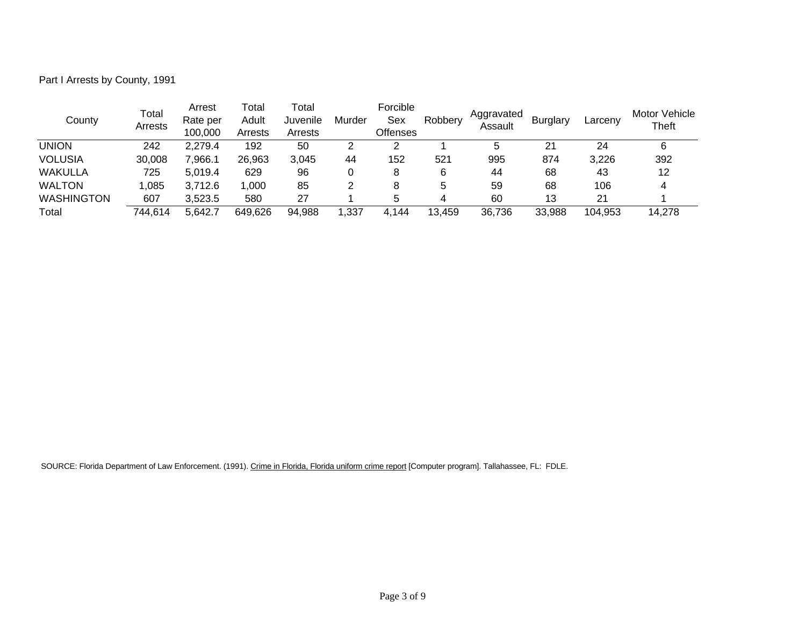Part I Arrests by County, 1991

| County            | Total<br>Arrests | Arrest<br>Rate per<br>100,000 | ™otal<br>Adult<br>Arrests | Total<br>Juvenile<br>Arrests | Murder | Forcible<br>Sex<br>Offenses | Robbery | Aggravated<br>Assault | <b>Burglary</b> | Larcenv | Motor Vehicle<br>Theft |
|-------------------|------------------|-------------------------------|---------------------------|------------------------------|--------|-----------------------------|---------|-----------------------|-----------------|---------|------------------------|
| <b>UNION</b>      | 242              | 2,279.4                       | 192                       | 50                           |        | 2                           |         | 5                     | 21              | 24      | 6                      |
| <b>VOLUSIA</b>    | 30,008           | .966.1                        | 26,963                    | 3,045                        | 44     | 152                         | 521     | 995                   | 874             | 3,226   | 392                    |
| WAKULLA           | 725              | 5.019.4                       | 629                       | 96                           |        | 8                           | 6       | 44                    | 68              | 43      | 12                     |
| <b>WALTON</b>     | 1.085            | 3.712.6                       | 1,000                     | 85                           |        | 8                           | 5       | 59                    | 68              | 106     | 4                      |
| <b>WASHINGTON</b> | 607              | 3,523.5                       | 580                       | 27                           |        | 5                           |         | 60                    | 13              | 21      |                        |
| Total             | 744,614          | 5,642.7                       | 649,626                   | 94,988                       | ,337   | 4.144                       | 13,459  | 36,736                | 33,988          | 104,953 | 14,278                 |

SOURCE: Florida Department of Law Enforcement. (1991). Crime in Florida, Florida uniform crime report [Computer program]. Tallahassee, FL: FDLE.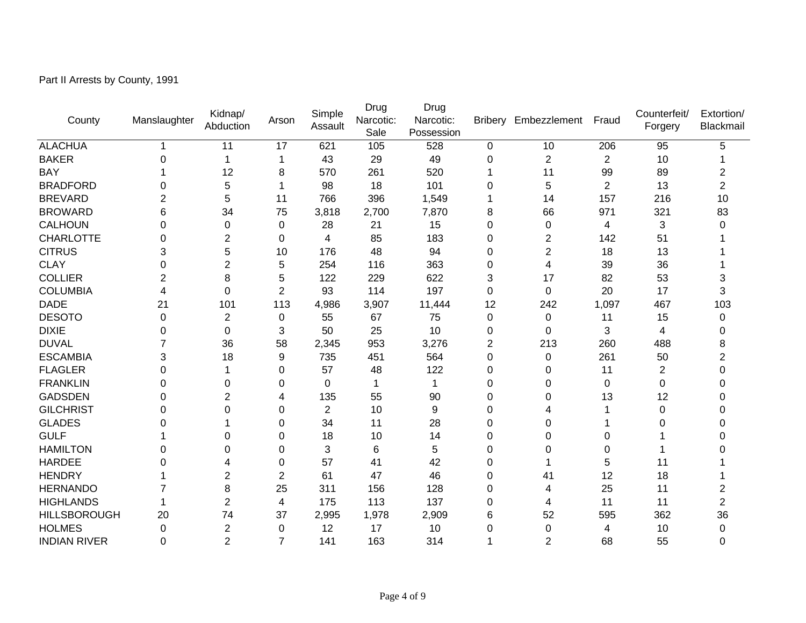Part II Arrests by County, 1991

| County              | Manslaughter | Kidnap/<br>Abduction | Arson          | Simple<br>Assault | Drug<br>Narcotic:<br>Sale | Drug<br>Narcotic:<br>Possession | <b>Bribery</b> | Embezzlement   | Fraud          | Counterfeit/<br>Forgery | Extortion/<br>Blackmail |
|---------------------|--------------|----------------------|----------------|-------------------|---------------------------|---------------------------------|----------------|----------------|----------------|-------------------------|-------------------------|
| <b>ALACHUA</b>      |              | 11                   | 17             | 621               | 105                       | 528                             | 0              | 10             | 206            | 95                      | 5                       |
| <b>BAKER</b>        | 0            | 1                    | -1             | 43                | 29                        | 49                              | 0              | $\overline{2}$ | $\overline{c}$ | 10                      |                         |
| <b>BAY</b>          |              | 12                   | 8              | 570               | 261                       | 520                             | 1              | 11             | 99             | 89                      | $\overline{2}$          |
| <b>BRADFORD</b>     | 0            | 5                    | 1              | 98                | 18                        | 101                             | 0              | 5              | $\overline{2}$ | 13                      | $\overline{2}$          |
| <b>BREVARD</b>      | 2            | 5                    | 11             | 766               | 396                       | 1,549                           | 1              | 14             | 157            | 216                     | 10                      |
| <b>BROWARD</b>      | 6            | 34                   | 75             | 3,818             | 2,700                     | 7,870                           | 8              | 66             | 971            | 321                     | 83                      |
| <b>CALHOUN</b>      | 0            | 0                    | 0              | 28                | 21                        | 15                              | 0              | 0              | 4              | 3                       | 0                       |
| <b>CHARLOTTE</b>    | $\Omega$     | $\overline{2}$       | $\Omega$       | 4                 | 85                        | 183                             | 0              | $\overline{2}$ | 142            | 51                      |                         |
| <b>CITRUS</b>       | 3            | 5                    | 10             | 176               | 48                        | 94                              | 0              | $\overline{2}$ | 18             | 13                      |                         |
| <b>CLAY</b>         | 0            | $\overline{2}$       | 5              | 254               | 116                       | 363                             | 0              | 4              | 39             | 36                      |                         |
| <b>COLLIER</b>      | 2            | 8                    | 5              | 122               | 229                       | 622                             | 3              | 17             | 82             | 53                      | 3                       |
| <b>COLUMBIA</b>     | 4            | 0                    | $\overline{2}$ | 93                | 114                       | 197                             | 0              | 0              | 20             | 17                      | 3                       |
| <b>DADE</b>         | 21           | 101                  | 113            | 4,986             | 3,907                     | 11,444                          | 12             | 242            | 1,097          | 467                     | 103                     |
| <b>DESOTO</b>       | 0            | $\overline{c}$       | 0              | 55                | 67                        | 75                              | 0              | 0              | 11             | 15                      | 0                       |
| <b>DIXIE</b>        | 0            | 0                    | 3              | 50                | 25                        | 10                              | $\Omega$       | 0              | 3              | 4                       | U                       |
| <b>DUVAL</b>        |              | 36                   | 58             | 2,345             | 953                       | 3,276                           | 2              | 213            | 260            | 488                     | 8                       |
| <b>ESCAMBIA</b>     | 3            | 18                   | 9              | 735               | 451                       | 564                             | 0              | $\mathbf 0$    | 261            | 50                      | 2                       |
| <b>FLAGLER</b>      | 0            |                      | 0              | 57                | 48                        | 122                             | 0              | 0              | 11             | $\overline{2}$          |                         |
| <b>FRANKLIN</b>     | 0            | 0                    | $\Omega$       | $\mathbf 0$       | $\mathbf{1}$              | $\mathbf 1$                     | 0              | 0              | 0              | $\mathbf 0$             | 0                       |
| <b>GADSDEN</b>      | 0            | 2                    | 4              | 135               | 55                        | 90                              | 0              | 0              | 13             | 12                      | 0                       |
| <b>GILCHRIST</b>    | 0            | 0                    | 0              | $\overline{2}$    | 10                        | 9                               | 0              | 4              |                | 0                       | 0                       |
| <b>GLADES</b>       | 0            |                      | $\Omega$       | 34                | 11                        | 28                              | 0              | 0              |                | 0                       |                         |
| <b>GULF</b>         |              | 0                    | 0              | 18                | 10                        | 14                              | 0              | 0              | 0              |                         |                         |
| <b>HAMILTON</b>     | 0            | 0                    | $\Omega$       | 3                 | 6                         | 5                               | 0              | 0              | 0              |                         |                         |
| <b>HARDEE</b>       | ი            | 4                    | 0              | 57                | 41                        | 42                              | 0              |                | 5              | 11                      |                         |
| <b>HENDRY</b>       |              | 2                    | 2              | 61                | 47                        | 46                              | 0              | 41             | 12             | 18                      |                         |
| <b>HERNANDO</b>     |              | 8                    | 25             | 311               | 156                       | 128                             | 0              | 4              | 25             | 11                      | 2                       |
| <b>HIGHLANDS</b>    |              | $\overline{2}$       | 4              | 175               | 113                       | 137                             | 0              | 4              | 11             | 11                      | 2                       |
| <b>HILLSBOROUGH</b> | 20           | 74                   | 37             | 2,995             | 1,978                     | 2,909                           | 6              | 52             | 595            | 362                     | 36                      |
| <b>HOLMES</b>       | 0            | 2                    | $\mathbf 0$    | 12                | 17                        | 10                              | 0              | 0              | 4              | 10                      | 0                       |
| <b>INDIAN RIVER</b> | $\Omega$     | $\overline{2}$       | $\overline{7}$ | 141               | 163                       | 314                             | 1              | $\overline{2}$ | 68             | 55                      | 0                       |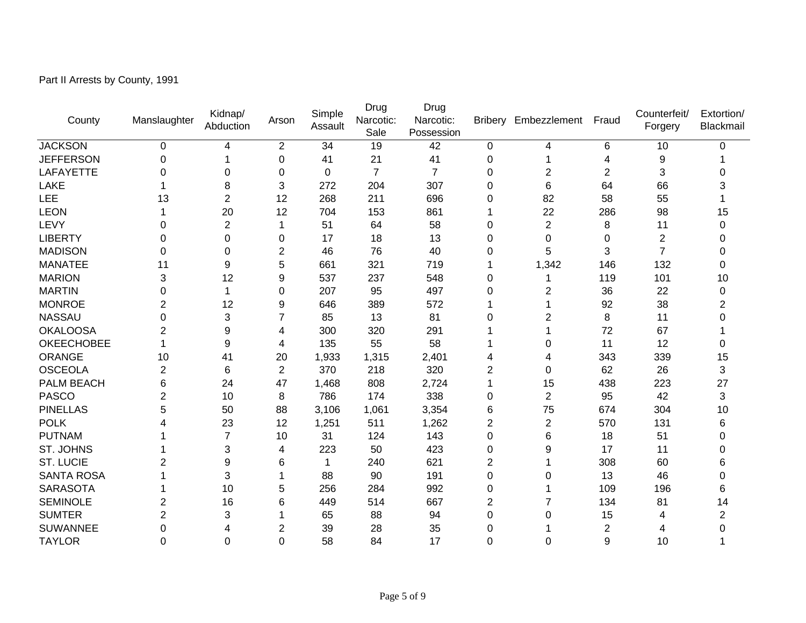Part II Arrests by County, 1991

| County            | Manslaughter   | Kidnap/<br>Abduction | Arson          | Simple<br>Assault | Drug<br>Narcotic:<br>Sale | Drug<br>Narcotic:<br>Possession | <b>Bribery</b> | Embezzlement   | Fraud          | Counterfeit/<br>Forgery | Extortion/<br>Blackmail |
|-------------------|----------------|----------------------|----------------|-------------------|---------------------------|---------------------------------|----------------|----------------|----------------|-------------------------|-------------------------|
| <b>JACKSON</b>    | 0              | 4                    | $\overline{2}$ | 34                | 19                        | 42                              | 0              | 4              | 6              | 10                      | 0                       |
| <b>JEFFERSON</b>  | 0              | 1                    | $\mathbf 0$    | 41                | 21                        | 41                              | 0              |                | 4              | 9                       |                         |
| LAFAYETTE         | 0              | 0                    | 0              | 0                 | $\overline{7}$            | $\overline{7}$                  | 0              | $\overline{2}$ | $\overline{c}$ | 3                       |                         |
| LAKE              |                | 8                    | 3              | 272               | 204                       | 307                             | 0              | 6              | 64             | 66                      |                         |
| <b>LEE</b>        | 13             | 2                    | 12             | 268               | 211                       | 696                             | $\Omega$       | 82             | 58             | 55                      |                         |
| <b>LEON</b>       |                | 20                   | 12             | 704               | 153                       | 861                             |                | 22             | 286            | 98                      | 15                      |
| LEVY              | 0              | $\overline{2}$       | 1              | 51                | 64                        | 58                              | 0              | $\overline{2}$ | 8              | 11                      | 0                       |
| <b>LIBERTY</b>    | $\Omega$       | 0                    | $\Omega$       | 17                | 18                        | 13                              | 0              | 0              | 0              | $\overline{2}$          | 0                       |
| <b>MADISON</b>    | 0              | 0                    | $\overline{2}$ | 46                | 76                        | 40                              | 0              | 5              | 3              | $\overline{7}$          | 0                       |
| <b>MANATEE</b>    | 11             | 9                    | 5              | 661               | 321                       | 719                             |                | 1,342          | 146            | 132                     | 0                       |
| <b>MARION</b>     | 3              | 12                   | 9              | 537               | 237                       | 548                             | 0              |                | 119            | 101                     | 10                      |
| <b>MARTIN</b>     | 0              | 1                    | $\Omega$       | 207               | 95                        | 497                             | 0              | $\overline{2}$ | 36             | 22                      | 0                       |
| <b>MONROE</b>     | $\overline{2}$ | 12                   | 9              | 646               | 389                       | 572                             |                |                | 92             | 38                      | 2                       |
| <b>NASSAU</b>     | 0              | 3                    | $\overline{7}$ | 85                | 13                        | 81                              | 0              | $\overline{2}$ | 8              | 11                      | 0                       |
| <b>OKALOOSA</b>   | $\overline{2}$ | 9                    | 4              | 300               | 320                       | 291                             |                |                | 72             | 67                      |                         |
| <b>OKEECHOBEE</b> |                | 9                    | 4              | 135               | 55                        | 58                              |                | 0              | 11             | 12                      | 0                       |
| <b>ORANGE</b>     | 10             | 41                   | 20             | 1,933             | 1,315                     | 2,401                           | 4              | 4              | 343            | 339                     | 15                      |
| <b>OSCEOLA</b>    | $\overline{2}$ | 6                    | $\overline{2}$ | 370               | 218                       | 320                             | $\overline{2}$ | 0              | 62             | 26                      | 3                       |
| PALM BEACH        | 6              | 24                   | 47             | 1,468             | 808                       | 2,724                           | 1              | 15             | 438            | 223                     | 27                      |
| <b>PASCO</b>      | 2              | 10                   | 8              | 786               | 174                       | 338                             | $\Omega$       | $\overline{2}$ | 95             | 42                      | 3                       |
| <b>PINELLAS</b>   | 5              | 50                   | 88             | 3,106             | 1,061                     | 3,354                           | 6              | 75             | 674            | 304                     | 10                      |
| <b>POLK</b>       |                | 23                   | 12             | 1,251             | 511                       | 1,262                           | $\overline{2}$ | $\overline{2}$ | 570            | 131                     | 6                       |
| <b>PUTNAM</b>     |                | 7                    | 10             | 31                | 124                       | 143                             | 0              | 6              | 18             | 51                      | 0                       |
| ST. JOHNS         |                | 3                    | 4              | 223               | 50                        | 423                             | 0              | 9              | 17             | 11                      | 0                       |
| <b>ST. LUCIE</b>  | 2              | 9                    | 6              | 1                 | 240                       | 621                             | $\overline{2}$ |                | 308            | 60                      | 6                       |
| <b>SANTA ROSA</b> |                | 3                    |                | 88                | 90                        | 191                             | 0              | 0              | 13             | 46                      | 0                       |
| <b>SARASOTA</b>   |                | 10                   | 5              | 256               | 284                       | 992                             | 0              | 1              | 109            | 196                     | 6                       |
| <b>SEMINOLE</b>   | 2              | 16                   | 6              | 449               | 514                       | 667                             | $\overline{2}$ | $\overline{7}$ | 134            | 81                      | 14                      |
| <b>SUMTER</b>     | 2              | 3                    |                | 65                | 88                        | 94                              | 0              | $\Omega$       | 15             | 4                       | $\overline{2}$          |
| <b>SUWANNEE</b>   | 0              | 4                    | $\overline{2}$ | 39                | 28                        | 35                              | 0              |                | 2              |                         | O                       |
| <b>TAYLOR</b>     | 0              | $\Omega$             | 0              | 58                | 84                        | 17                              | 0              | 0              | 9              | 10                      |                         |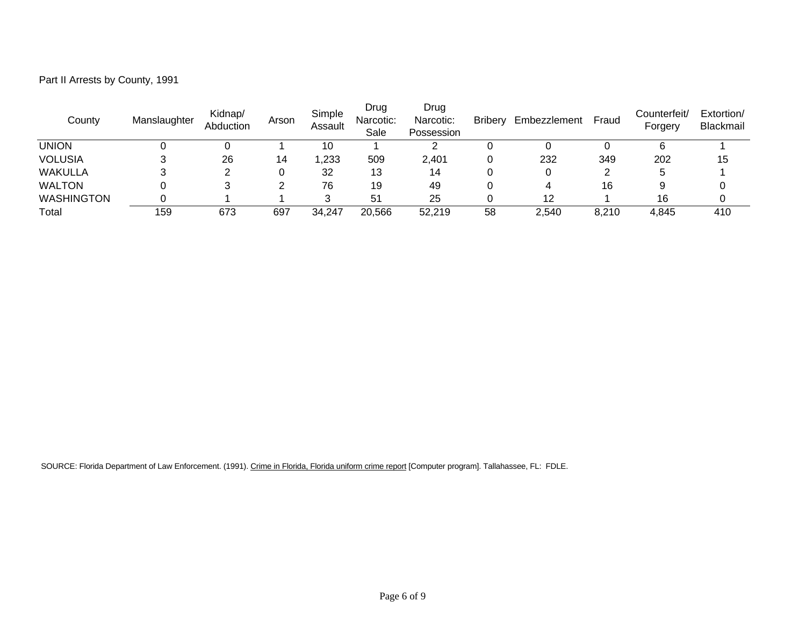| Part II Arrests by County, 1991 |  |  |
|---------------------------------|--|--|
|---------------------------------|--|--|

| County            | Manslaughter | Kidnap/<br>Abduction | Arson | Simple<br>Assault | Drug<br>Narcotic:<br>Sale | Drug<br>Narcotic:<br>Possession | <b>Bribery</b> | Embezzlement | Fraud | Counterfeit/<br>Forgery | Extortion/<br>Blackmail |
|-------------------|--------------|----------------------|-------|-------------------|---------------------------|---------------------------------|----------------|--------------|-------|-------------------------|-------------------------|
| <b>UNION</b>      |              |                      |       | 10                |                           |                                 |                |              |       |                         |                         |
| <b>VOLUSIA</b>    |              | 26                   | 14    | ,233              | 509                       | 2,401                           |                | 232          | 349   | 202                     | 15                      |
| <b>WAKULLA</b>    |              |                      |       | 32                | 13                        | 14                              |                |              |       |                         |                         |
| <b>WALTON</b>     |              |                      |       | 76                | 19                        | 49                              |                | 4            | 16    |                         |                         |
| <b>WASHINGTON</b> |              |                      |       | っ                 | 51                        | 25                              |                | 12           |       | 16                      |                         |
| Total             | 159          | 673                  | 697   | 34,247            | 20,566                    | 52,219                          | 58             | 2,540        | 8,210 | 4,845                   | 410                     |

SOURCE: Florida Department of Law Enforcement. (1991). Crime in Florida, Florida uniform crime report [Computer program]. Tallahassee, FL: FDLE.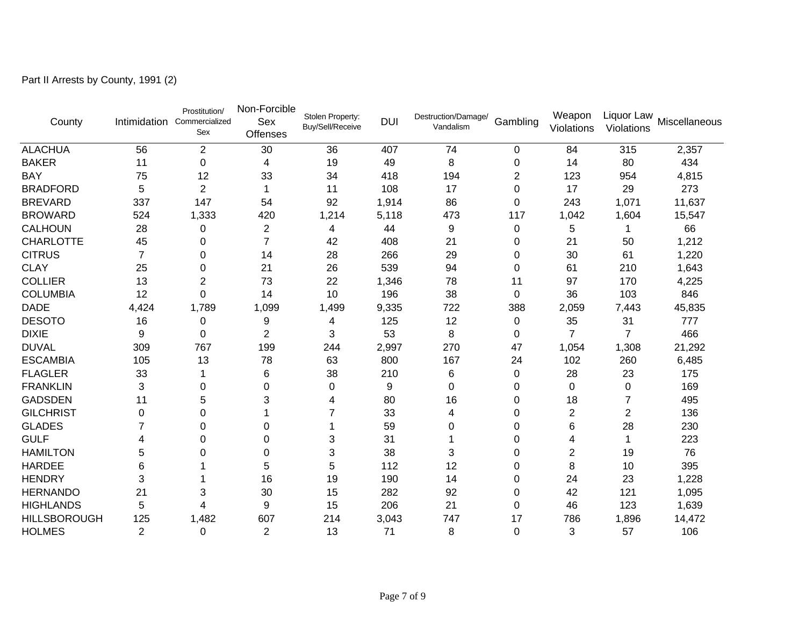Part II Arrests by County, 1991 (2)

| County              |                | Prostitution/<br>Intimidation Commercialized<br>Sex | Non-Forcible<br>Sex<br><b>Offenses</b> | Stolen Property:<br>Buy/Sell/Receive | <b>DUI</b> | Destruction/Damage/<br>Vandalism | Gambling | Weapon<br>Violations | Liquor Law<br>Violations | Miscellaneous |
|---------------------|----------------|-----------------------------------------------------|----------------------------------------|--------------------------------------|------------|----------------------------------|----------|----------------------|--------------------------|---------------|
| <b>ALACHUA</b>      | 56             | $\overline{2}$                                      | 30                                     | 36                                   | 407        | 74                               | $\Omega$ | 84                   | 315                      | 2,357         |
| <b>BAKER</b>        | 11             | 0                                                   | 4                                      | 19                                   | 49         | 8                                | 0        | 14                   | 80                       | 434           |
| <b>BAY</b>          | 75             | 12                                                  | 33                                     | 34                                   | 418        | 194                              | 2        | 123                  | 954                      | 4,815         |
| <b>BRADFORD</b>     | 5              | $\overline{2}$                                      | 1                                      | 11                                   | 108        | 17                               | $\Omega$ | 17                   | 29                       | 273           |
| <b>BREVARD</b>      | 337            | 147                                                 | 54                                     | 92                                   | 1,914      | 86                               | $\Omega$ | 243                  | 1,071                    | 11,637        |
| <b>BROWARD</b>      | 524            | 1,333                                               | 420                                    | 1,214                                | 5,118      | 473                              | 117      | 1,042                | 1,604                    | 15,547        |
| <b>CALHOUN</b>      | 28             | 0                                                   | $\overline{c}$                         | 4                                    | 44         | 9                                | 0        | 5                    |                          | 66            |
| <b>CHARLOTTE</b>    | 45             | 0                                                   | $\overline{7}$                         | 42                                   | 408        | 21                               | 0        | 21                   | 50                       | 1,212         |
| <b>CITRUS</b>       | 7              | 0                                                   | 14                                     | 28                                   | 266        | 29                               | 0        | 30                   | 61                       | 1,220         |
| <b>CLAY</b>         | 25             | 0                                                   | 21                                     | 26                                   | 539        | 94                               | 0        | 61                   | 210                      | 1,643         |
| <b>COLLIER</b>      | 13             | 2                                                   | 73                                     | 22                                   | 1,346      | 78                               | 11       | 97                   | 170                      | 4,225         |
| <b>COLUMBIA</b>     | 12             | 0                                                   | 14                                     | 10                                   | 196        | 38                               | 0        | 36                   | 103                      | 846           |
| <b>DADE</b>         | 4,424          | 1,789                                               | 1,099                                  | 1,499                                | 9,335      | 722                              | 388      | 2,059                | 7,443                    | 45,835        |
| <b>DESOTO</b>       | 16             | 0                                                   | 9                                      | 4                                    | 125        | 12                               | 0        | 35                   | 31                       | 777           |
| <b>DIXIE</b>        | 9              | 0                                                   | $\overline{2}$                         | 3                                    | 53         | 8                                | 0        | 7                    | $\overline{7}$           | 466           |
| <b>DUVAL</b>        | 309            | 767                                                 | 199                                    | 244                                  | 2,997      | 270                              | 47       | 1,054                | 1,308                    | 21,292        |
| <b>ESCAMBIA</b>     | 105            | 13                                                  | 78                                     | 63                                   | 800        | 167                              | 24       | 102                  | 260                      | 6,485         |
| <b>FLAGLER</b>      | 33             |                                                     | 6                                      | 38                                   | 210        | 6                                | 0        | 28                   | 23                       | 175           |
| <b>FRANKLIN</b>     | 3              | 0                                                   | $\mathbf 0$                            | 0                                    | 9          | $\Omega$                         | 0        | 0                    | 0                        | 169           |
| <b>GADSDEN</b>      | 11             | 5                                                   | 3                                      | 4                                    | 80         | 16                               | 0        | 18                   | 7                        | 495           |
| <b>GILCHRIST</b>    | $\Omega$       | 0                                                   |                                        | 7                                    | 33         | 4                                | $\Omega$ | 2                    | 2                        | 136           |
| <b>GLADES</b>       |                | 0                                                   | 0                                      |                                      | 59         | 0                                | $\Omega$ | 6                    | 28                       | 230           |
| <b>GULF</b>         | 4              | 0                                                   | 0                                      | 3                                    | 31         |                                  | $\Omega$ | 4                    | 1                        | 223           |
| <b>HAMILTON</b>     | 5              | 0                                                   | 0                                      | 3                                    | 38         | 3                                | 0        | 2                    | 19                       | 76            |
| <b>HARDEE</b>       | 6              |                                                     | 5                                      | 5                                    | 112        | 12                               | 0        | 8                    | 10                       | 395           |
| <b>HENDRY</b>       | 3              |                                                     | 16                                     | 19                                   | 190        | 14                               | 0        | 24                   | 23                       | 1,228         |
| <b>HERNANDO</b>     | 21             | 3                                                   | 30                                     | 15                                   | 282        | 92                               | 0        | 42                   | 121                      | 1,095         |
| <b>HIGHLANDS</b>    | 5              | 4                                                   | 9                                      | 15                                   | 206        | 21                               | $\Omega$ | 46                   | 123                      | 1,639         |
| <b>HILLSBOROUGH</b> | 125            | 1,482                                               | 607                                    | 214                                  | 3,043      | 747                              | 17       | 786                  | 1,896                    | 14,472        |
| <b>HOLMES</b>       | $\overline{2}$ | 0                                                   | $\overline{2}$                         | 13                                   | 71         | 8                                | $\Omega$ | 3                    | 57                       | 106           |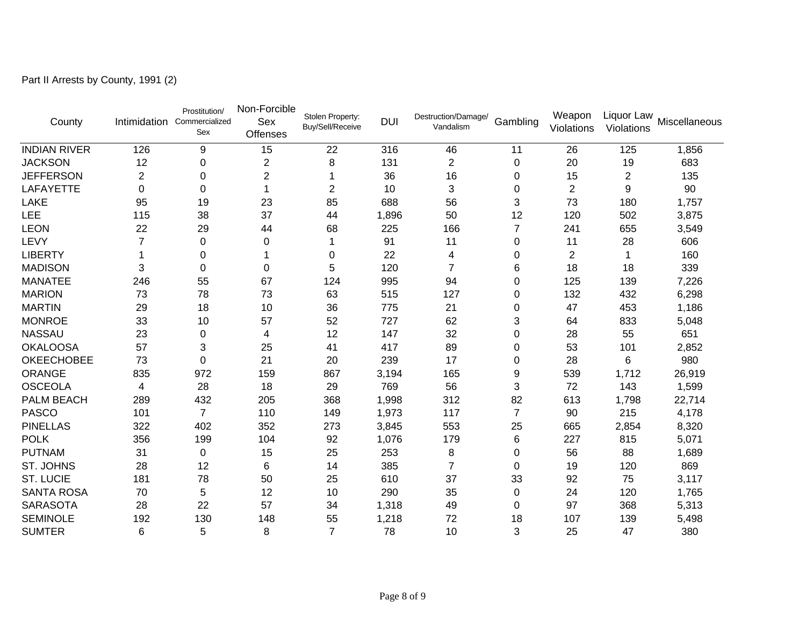Part II Arrests by County, 1991 (2)

| County              |                | Prostitution/<br>Intimidation Commercialized<br>Sex | Non-Forcible<br>Sex<br>Offenses | Stolen Property:<br>Buy/Sell/Receive | <b>DUI</b> | Destruction/Damage/<br>Vandalism | Gambling       | Weapon<br>Violations | Liquor Law<br>Violations | Miscellaneous |
|---------------------|----------------|-----------------------------------------------------|---------------------------------|--------------------------------------|------------|----------------------------------|----------------|----------------------|--------------------------|---------------|
| <b>INDIAN RIVER</b> | 126            | 9                                                   | 15                              | 22                                   | 316        | 46                               | 11             | 26                   | 125                      | 1,856         |
| <b>JACKSON</b>      | 12             | 0                                                   | $\boldsymbol{2}$                | 8                                    | 131        | $\overline{c}$                   | 0              | 20                   | 19                       | 683           |
| <b>JEFFERSON</b>    | 2              | 0                                                   | $\overline{2}$                  |                                      | 36         | 16                               | 0              | 15                   | 2                        | 135           |
| LAFAYETTE           | 0              | 0                                                   | 1                               | $\overline{2}$                       | 10         | 3                                | 0              | 2                    | 9                        | 90            |
| LAKE                | 95             | 19                                                  | 23                              | 85                                   | 688        | 56                               | 3              | 73                   | 180                      | 1,757         |
| LEE                 | 115            | 38                                                  | 37                              | 44                                   | 1,896      | 50                               | 12             | 120                  | 502                      | 3,875         |
| <b>LEON</b>         | 22             | 29                                                  | 44                              | 68                                   | 225        | 166                              | $\overline{7}$ | 241                  | 655                      | 3,549         |
| LEVY                | $\overline{7}$ | 0                                                   | 0                               |                                      | 91         | 11                               | 0              | 11                   | 28                       | 606           |
| <b>LIBERTY</b>      |                | 0                                                   | 1                               | 0                                    | 22         | 4                                | 0              | 2                    | 1                        | 160           |
| <b>MADISON</b>      | 3              | $\Omega$                                            | 0                               | 5                                    | 120        | $\overline{7}$                   | 6              | 18                   | 18                       | 339           |
| <b>MANATEE</b>      | 246            | 55                                                  | 67                              | 124                                  | 995        | 94                               | $\Omega$       | 125                  | 139                      | 7,226         |
| <b>MARION</b>       | 73             | 78                                                  | 73                              | 63                                   | 515        | 127                              | 0              | 132                  | 432                      | 6,298         |
| <b>MARTIN</b>       | 29             | 18                                                  | 10                              | 36                                   | 775        | 21                               | 0              | 47                   | 453                      | 1,186         |
| <b>MONROE</b>       | 33             | 10                                                  | 57                              | 52                                   | 727        | 62                               | 3              | 64                   | 833                      | 5,048         |
| <b>NASSAU</b>       | 23             | 0                                                   | 4                               | 12                                   | 147        | 32                               | 0              | 28                   | 55                       | 651           |
| <b>OKALOOSA</b>     | 57             | 3                                                   | 25                              | 41                                   | 417        | 89                               | 0              | 53                   | 101                      | 2,852         |
| <b>OKEECHOBEE</b>   | 73             | 0                                                   | 21                              | 20                                   | 239        | 17                               | $\Omega$       | 28                   | 6                        | 980           |
| ORANGE              | 835            | 972                                                 | 159                             | 867                                  | 3,194      | 165                              | 9              | 539                  | 1,712                    | 26,919        |
| <b>OSCEOLA</b>      | 4              | 28                                                  | 18                              | 29                                   | 769        | 56                               | 3              | 72                   | 143                      | 1,599         |
| PALM BEACH          | 289            | 432                                                 | 205                             | 368                                  | 1,998      | 312                              | 82             | 613                  | 1,798                    | 22,714        |
| <b>PASCO</b>        | 101            | $\overline{7}$                                      | 110                             | 149                                  | 1,973      | 117                              | $\overline{7}$ | 90                   | 215                      | 4,178         |
| <b>PINELLAS</b>     | 322            | 402                                                 | 352                             | 273                                  | 3,845      | 553                              | 25             | 665                  | 2,854                    | 8,320         |
| <b>POLK</b>         | 356            | 199                                                 | 104                             | 92                                   | 1,076      | 179                              | 6              | 227                  | 815                      | 5,071         |
| <b>PUTNAM</b>       | 31             | $\Omega$                                            | 15                              | 25                                   | 253        | 8                                | $\Omega$       | 56                   | 88                       | 1,689         |
| ST. JOHNS           | 28             | 12                                                  | 6                               | 14                                   | 385        | 7                                | $\Omega$       | 19                   | 120                      | 869           |
| <b>ST. LUCIE</b>    | 181            | 78                                                  | 50                              | 25                                   | 610        | 37                               | 33             | 92                   | 75                       | 3,117         |
| <b>SANTA ROSA</b>   | 70             | 5                                                   | 12                              | 10                                   | 290        | 35                               | 0              | 24                   | 120                      | 1,765         |
| <b>SARASOTA</b>     | 28             | 22                                                  | 57                              | 34                                   | 1,318      | 49                               | $\Omega$       | 97                   | 368                      | 5,313         |
| <b>SEMINOLE</b>     | 192            | 130                                                 | 148                             | 55                                   | 1,218      | 72                               | 18             | 107                  | 139                      | 5,498         |
| <b>SUMTER</b>       | 6              | 5                                                   | 8                               | $\overline{7}$                       | 78         | 10                               | 3              | 25                   | 47                       | 380           |